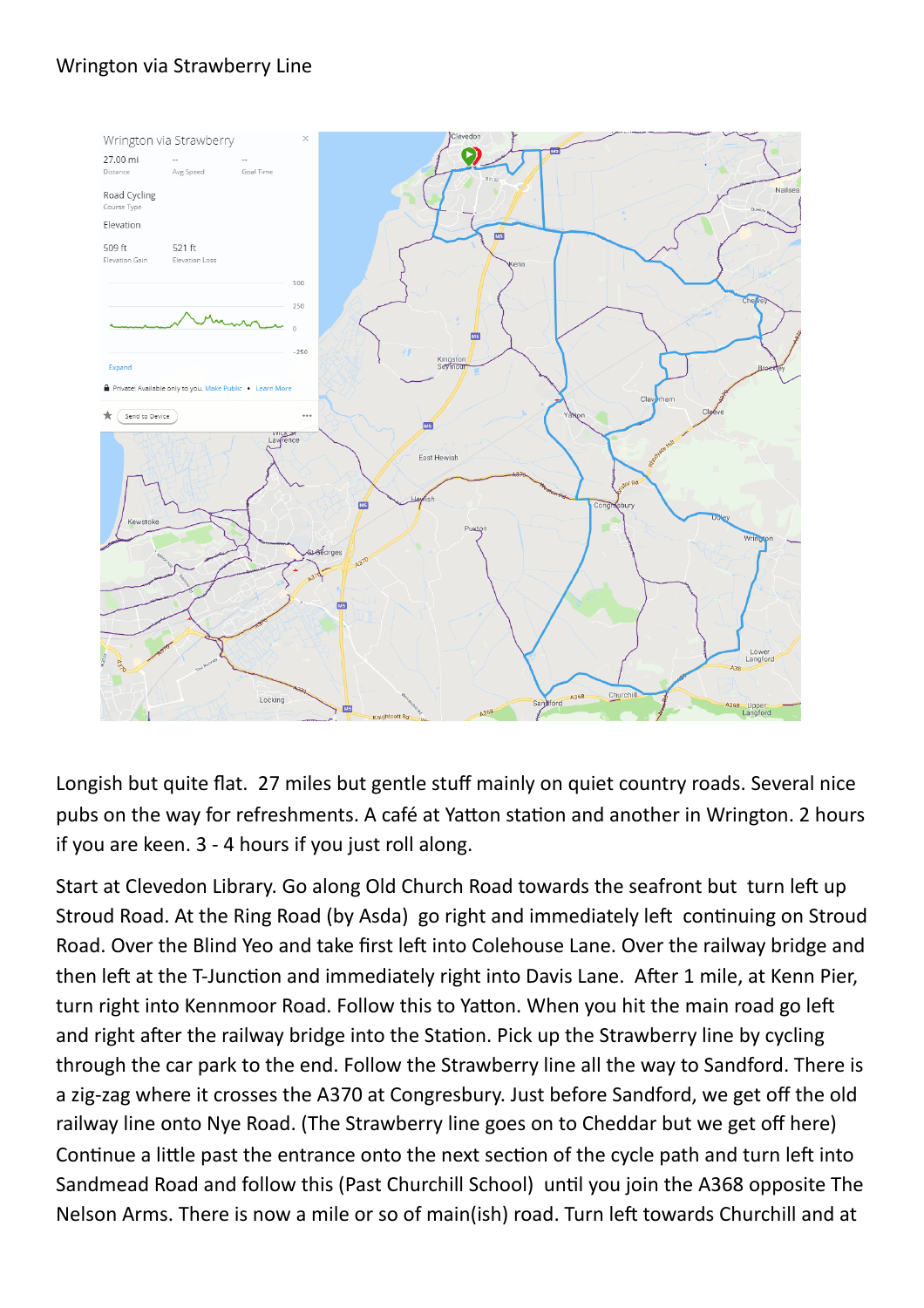## Wrington via Strawberry Line



Longish but quite flat. 27 miles but gentle stuff mainly on quiet country roads. Several nice pubs on the way for refreshments. A café at Yatton station and another in Wrington. 2 hours if you are keen. 3 - 4 hours if you just roll along.

Start at Clevedon Library. Go along Old Church Road towards the seafront but turn left up Stroud Road. At the Ring Road (by Asda) go right and immediately left continuing on Stroud Road. Over the Blind Yeo and take first left into Colehouse Lane. Over the railway bridge and then left at the T-Junction and immediately right into Davis Lane. After 1 mile, at Kenn Pier, turn right into Kennmoor Road. Follow this to Yatton. When you hit the main road go left and right after the railway bridge into the Station. Pick up the Strawberry line by cycling through the car park to the end. Follow the Strawberry line all the way to Sandford. There is a zig-zag where it crosses the A370 at Congresbury. Just before Sandford, we get off the old railway line onto Nye Road. (The Strawberry line goes on to Cheddar but we get off here) Continue a little past the entrance onto the next section of the cycle path and turn left into Sandmead Road and follow this (Past Churchill School) until you join the A368 opposite The Nelson Arms. There is now a mile or so of main(ish) road. Turn left towards Churchill and at